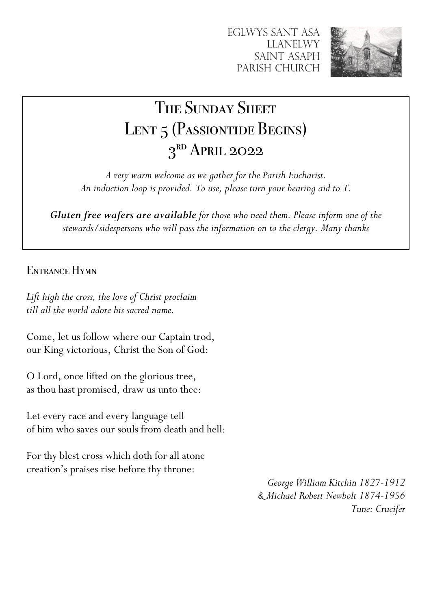Eglwys Sant Asa Llanelwy SAINT ASAPH Parish Church



# THE SUNDAY SHEET LENT 5 (PASSIONTIDE BEGINS)  $3<sup>RD</sup>$  April 2022

*A very warm welcome as we gather for the Parish Eucharist. An induction loop is provided. To use, please turn your hearing aid to T.*

*Gluten free wafers are available for those who need them. Please inform one of the stewards/sidespersons who will pass the information on to the clergy. Many thanks*

ENTRANCE HYMN

*Lift high the cross, the love of Christ proclaim till all the world adore his sacred name.*

Come, let us follow where our Captain trod, our King victorious, Christ the Son of God:

O Lord, once lifted on the glorious tree, as thou hast promised, draw us unto thee:

Let every race and every language tell of him who saves our souls from death and hell:

For thy blest cross which doth for all atone creation's praises rise before thy throne:

> *George William Kitchin 1827-1912 & Michael Robert Newbolt 1874-1956 Tune: Crucifer*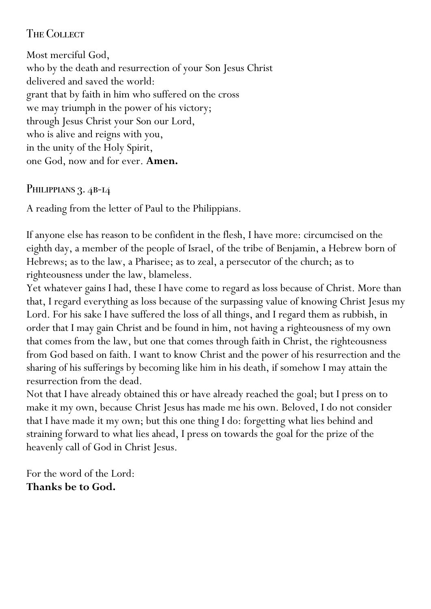# **THE COLLECT**

Most merciful God, who by the death and resurrection of your Son Jesus Christ delivered and saved the world: grant that by faith in him who suffered on the cross we may triumph in the power of his victory; through Jesus Christ your Son our Lord, who is alive and reigns with you, in the unity of the Holy Spirit, one God, now and for ever. **Amen.**

#### PHILIPPIANS 3. 4B-14

A reading from the letter of Paul to the Philippians.

If anyone else has reason to be confident in the flesh, I have more: circumcised on the eighth day, a member of the people of Israel, of the tribe of Benjamin, a Hebrew born of Hebrews; as to the law, a Pharisee; as to zeal, a persecutor of the church; as to righteousness under the law, blameless.

Yet whatever gains I had, these I have come to regard as loss because of Christ. More than that, I regard everything as loss because of the surpassing value of knowing Christ Jesus my Lord. For his sake I have suffered the loss of all things, and I regard them as rubbish, in order that I may gain Christ and be found in him, not having a righteousness of my own that comes from the law, but one that comes through faith in Christ, the righteousness from God based on faith. I want to know Christ and the power of his resurrection and the sharing of his sufferings by becoming like him in his death, if somehow I may attain the resurrection from the dead.

Not that I have already obtained this or have already reached the goal; but I press on to make it my own, because Christ Jesus has made me his own. Beloved, I do not consider that I have made it my own; but this one thing I do: forgetting what lies behind and straining forward to what lies ahead, I press on towards the goal for the prize of the heavenly call of God in Christ Jesus.

For the word of the Lord: **Thanks be to God.**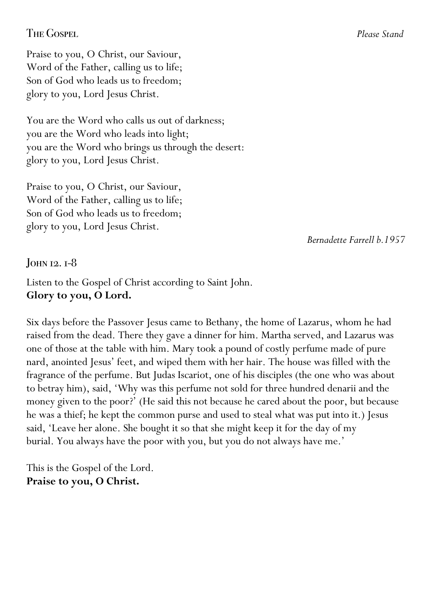The Gospel *Please Stand*

Praise to you, O Christ, our Saviour, Word of the Father, calling us to life; Son of God who leads us to freedom; glory to you, Lord Jesus Christ.

You are the Word who calls us out of darkness; you are the Word who leads into light; you are the Word who brings us through the desert: glory to you, Lord Jesus Christ.

Praise to you, O Christ, our Saviour, Word of the Father, calling us to life; Son of God who leads us to freedom; glory to you, Lord Jesus Christ.

*Bernadette Farrell b.1957*

 $\log$  12. 1-8

Listen to the Gospel of Christ according to Saint John. **Glory to you, O Lord.**

Six days before the Passover Jesus came to Bethany, the home of Lazarus, whom he had raised from the dead. There they gave a dinner for him. Martha served, and Lazarus was one of those at the table with him. Mary took a pound of costly perfume made of pure nard, anointed Jesus' feet, and wiped them with her hair. The house was filled with the fragrance of the perfume. But Judas Iscariot, one of his disciples (the one who was about to betray him), said, 'Why was this perfume not sold for three hundred denarii and the money given to the poor?' (He said this not because he cared about the poor, but because he was a thief; he kept the common purse and used to steal what was put into it.) Jesus said, 'Leave her alone. She bought it so that she might keep it for the day of my burial. You always have the poor with you, but you do not always have me.'

This is the Gospel of the Lord. **Praise to you, O Christ.**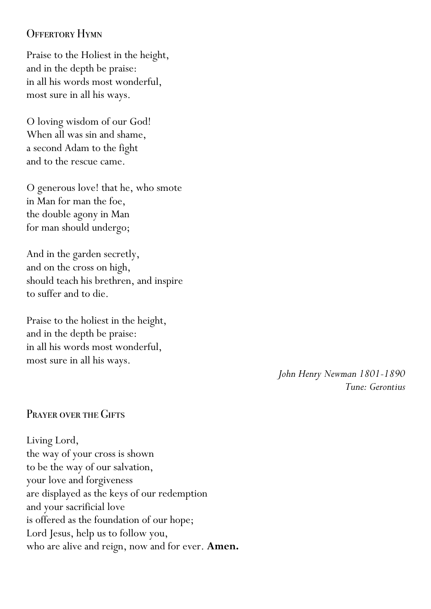#### **OFFERTORY HYMN**

Praise to the Holiest in the height, and in the depth be praise: in all his words most wonderful, most sure in all his ways.

O loving wisdom of our God! When all was sin and shame, a second Adam to the fight and to the rescue came.

O generous love! that he, who smote in Man for man the foe, the double agony in Man for man should undergo;

And in the garden secretly, and on the cross on high, should teach his brethren, and inspire to suffer and to die.

Praise to the holiest in the height, and in the depth be praise: in all his words most wonderful, most sure in all his ways.

> *John Henry Newman 1801-1890 Tune: Gerontius*

#### PRAYER OVER THE GIFTS

Living Lord, the way of your cross is shown to be the way of our salvation, your love and forgiveness are displayed as the keys of our redemption and your sacrificial love is offered as the foundation of our hope; Lord Jesus, help us to follow you, who are alive and reign, now and for ever. **Amen.**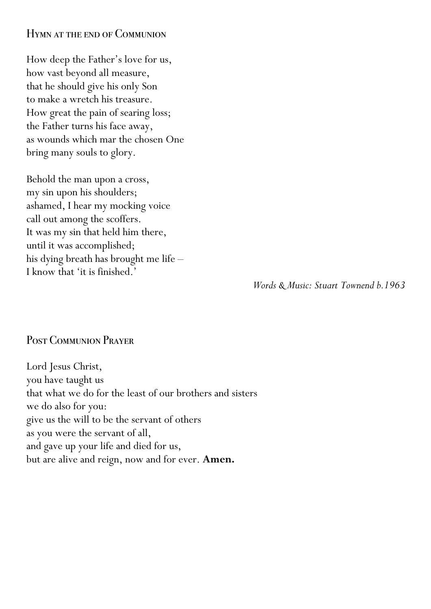#### Hymn at the end of Communion

How deep the Father's love for us, how vast beyond all measure, that he should give his only Son to make a wretch his treasure. How great the pain of searing loss; the Father turns his face away, as wounds which mar the chosen One bring many souls to glory.

Behold the man upon a cross, my sin upon his shoulders; ashamed, I hear my mocking voice call out among the scoffers. It was my sin that held him there, until it was accomplished; his dying breath has brought me life – I know that 'it is finished.'

*Words & Music: Stuart Townend b.1963*

#### POST COMMUNION PRAYER

Lord Jesus Christ, you have taught us that what we do for the least of our brothers and sisters we do also for you: give us the will to be the servant of others as you were the servant of all, and gave up your life and died for us, but are alive and reign, now and for ever. **Amen.**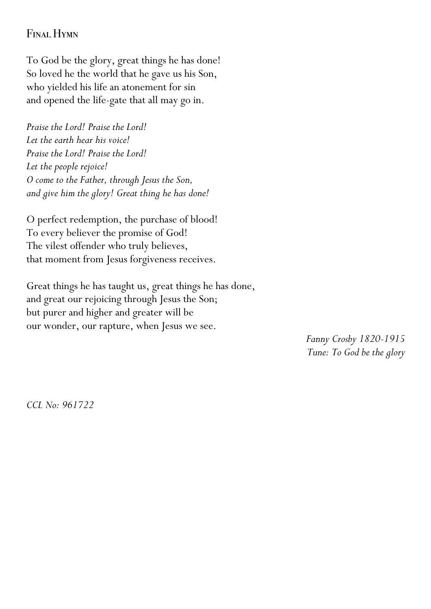## Final Hymn

To God be the glory, great things he has done! So loved he the world that he gave us his Son, who yielded his life an atonement for sin and opened the life-gate that all may go in.

*Praise the Lord! Praise the Lord! Let the earth hear his voice! Praise the Lord! Praise the Lord! Let the people rejoice! O come to the Father, through Jesus the Son, and give him the glory! Great thing he has done!*

O perfect redemption, the purchase of blood! To every believer the promise of God! The vilest offender who truly believes, that moment from Jesus forgiveness receives.

Great things he has taught us, great things he has done, and great our rejoicing through Jesus the Son; but purer and higher and greater will be our wonder, our rapture, when Jesus we see.

> *Fanny Crosby 1820-1915 Tune: To God be the glory*

*CCL No: 961722*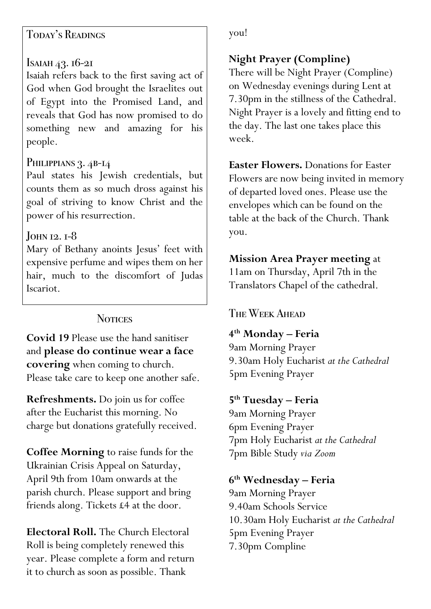## Today's Readings

## Isaiah 43. 16-21

Isaiah refers back to the first saving act of God when God brought the Israelites out of Egypt into the Promised Land, and reveals that God has now promised to do something new and amazing for his people.

#### PHILIPPIANS 3. 4B-14

Paul states his Jewish credentials, but counts them as so much dross against his goal of striving to know Christ and the power of his resurrection.

#### JOHN 12. 1-8

Mary of Bethany anoints Jesus' feet with expensive perfume and wipes them on her hair, much to the discomfort of Judas Iscariot.

# **NOTICES**

**Covid 19** Please use the hand sanitiser and **please do continue wear a face covering** when coming to church. Please take care to keep one another safe.

**Refreshments.** Do join us for coffee after the Eucharist this morning. No charge but donations gratefully received.

**Coffee Morning** to raise funds for the Ukrainian Crisis Appeal on Saturday, April 9th from 10am onwards at the parish church. Please support and bring friends along. Tickets £4 at the door.

**Electoral Roll.** The Church Electoral Roll is being completely renewed this year. Please complete a form and return it to church as soon as possible. Thank

you!

# **Night Prayer (Compline)**

There will be Night Prayer (Compline) on Wednesday evenings during Lent at 7.30pm in the stillness of the Cathedral. Night Prayer is a lovely and fitting end to the day. The last one takes place this week.

**Easter Flowers.** Donations for Easter Flowers are now being invited in memory of departed loved ones. Please use the envelopes which can be found on the table at the back of the Church. Thank you.

## **Mission Area Prayer meeting** at 11am on Thursday, April 7th in the Translators Chapel of the cathedral.

# The Week Ahead

#### **4th Monday – Feria**

9am Morning Prayer 9.30am Holy Eucharist *at the Cathedral* 5pm Evening Prayer

## **5th Tuesday – Feria**

9am Morning Prayer 6pm Evening Prayer 7pm Holy Eucharist *at the Cathedral* 7pm Bible Study *via Zoom*

## **6th Wednesday – Feria**

9am Morning Prayer 9.40am Schools Service 10.30am Holy Eucharist *at the Cathedral* 5pm Evening Prayer 7.30pm Compline